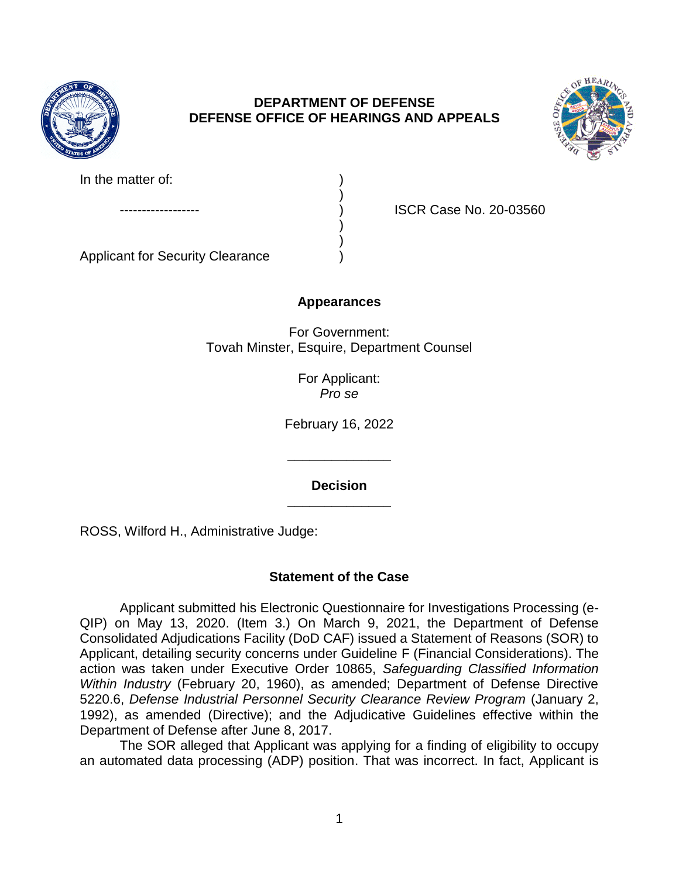

# **DEPARTMENT OF DEFENSE DEFENSE OFFICE OF HEARINGS AND APPEALS**

)

) )



| In the matter of: |  |
|-------------------|--|
|                   |  |

ISCR Case No. 20-03560

Applicant for Security Clearance )

## **Appearances**

For Government: Tovah Minster, Esquire, Department Counsel

> For Applicant: *Pro se*

February 16, 2022

**\_\_\_\_\_\_\_\_\_\_\_\_\_\_ Decision** 

**\_\_\_\_\_\_\_\_\_\_\_\_\_\_** 

ROSS, Wilford H., Administrative Judge:

# **Statement of the Case**

 QIP) on May 13, 2020. (Item 3.) On March 9, 2021, the Department of Defense Consolidated Adjudications Facility (DoD CAF) issued a Statement of Reasons (SOR) to Applicant, detailing security concerns under Guideline F (Financial Considerations). The action was taken under Executive Order 10865, *Safeguarding Classified Information Within Industry* (February 20, 1960), as amended; Department of Defense Directive 5220.6, *Defense Industrial Personnel Security Clearance Review Program* (January 2, 1992), as amended (Directive); and the Adjudicative Guidelines effective within the Applicant submitted his Electronic Questionnaire for Investigations Processing (e-Department of Defense after June 8, 2017.

 The SOR alleged that Applicant was applying for a finding of eligibility to occupy an automated data processing (ADP) position. That was incorrect. In fact, Applicant is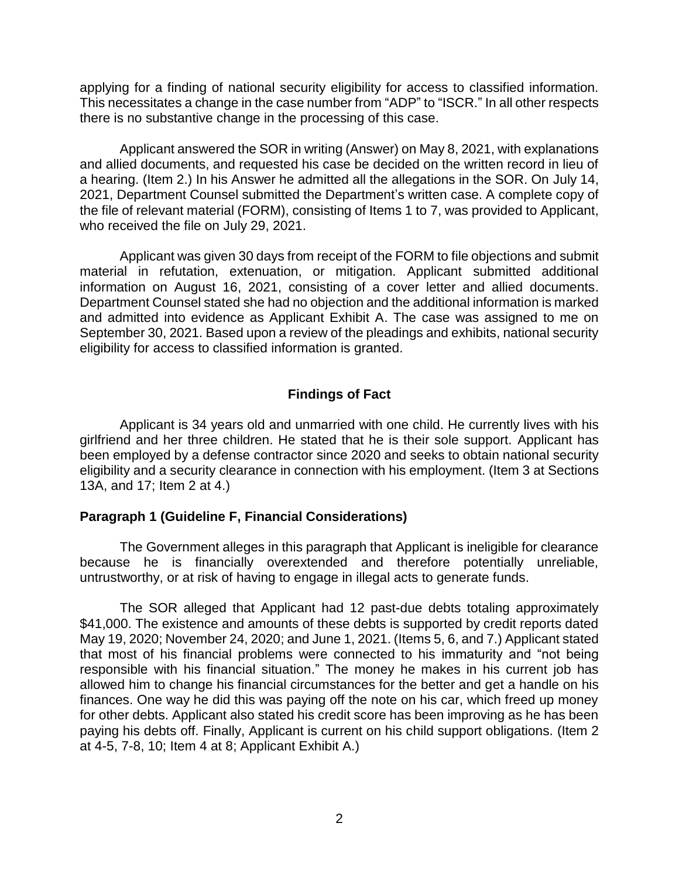applying for a finding of national security eligibility for access to classified information. This necessitates a change in the case number from "ADP" to "ISCR." In all other respects there is no substantive change in the processing of this case.

 Applicant answered the SOR in writing (Answer) on May 8, 2021, with explanations and allied documents, and requested his case be decided on the written record in lieu of 2021, Department Counsel submitted the Department's written case. A complete copy of the file of relevant material (FORM), consisting of Items 1 to 7, was provided to Applicant, who received the file on July 29, 2021. a hearing. (Item 2.) In his Answer he admitted all the allegations in the SOR. On July 14,

 Applicant was given 30 days from receipt of the FORM to file objections and submit information on August 16, 2021, consisting of a cover letter and allied documents. Department Counsel stated she had no objection and the additional information is marked and admitted into evidence as Applicant Exhibit A. The case was assigned to me on September 30, 2021. Based upon a review of the pleadings and exhibits, national security material in refutation, extenuation, or mitigation. Applicant submitted additional eligibility for access to classified information is granted.

### **Findings of Fact**

 Applicant is 34 years old and unmarried with one child. He currently lives with his girlfriend and her three children. He stated that he is their sole support. Applicant has been employed by a defense contractor since 2020 and seeks to obtain national security eligibility and a security clearance in connection with his employment. (Item 3 at Sections 13A, and 17; Item 2 at 4.)

#### **Paragraph 1 (Guideline F, Financial Considerations)**

 The Government alleges in this paragraph that Applicant is ineligible for clearance because he is financially overextended and therefore potentially unreliable, untrustworthy, or at risk of having to engage in illegal acts to generate funds.

 \$41,000. The existence and amounts of these debts is supported by credit reports dated May 19, 2020; November 24, 2020; and June 1, 2021. (Items 5, 6, and 7.) Applicant stated that most of his financial problems were connected to his immaturity and "not being responsible with his financial situation." The money he makes in his current job has allowed him to change his financial circumstances for the better and get a handle on his finances. One way he did this was paying off the note on his car, which freed up money for other debts. Applicant also stated his credit score has been improving as he has been paying his debts off. Finally, Applicant is current on his child support obligations. (Item 2 The SOR alleged that Applicant had 12 past-due debts totaling approximately at 4-5, 7-8, 10; Item 4 at 8; Applicant Exhibit A.)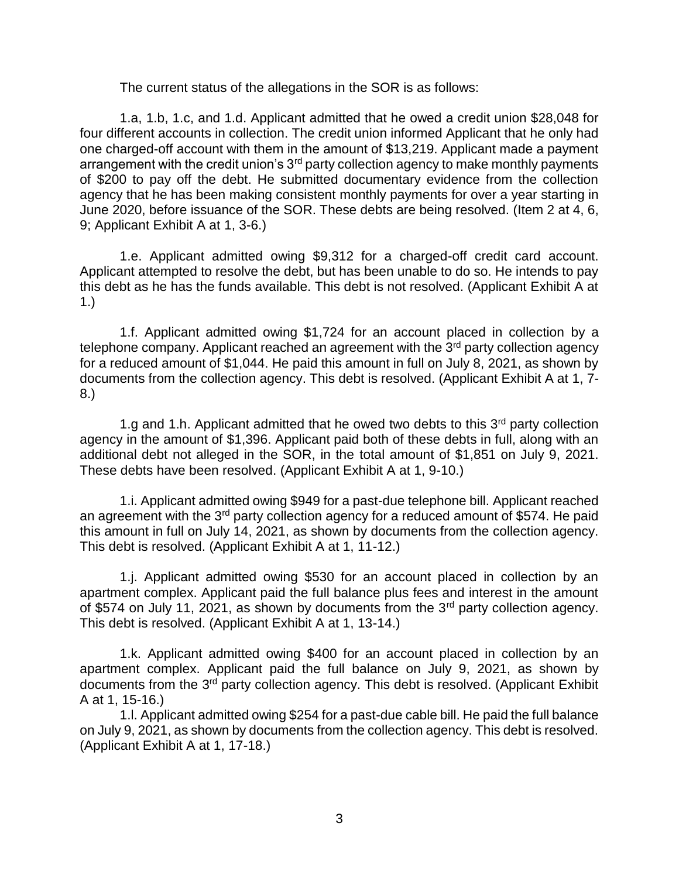The current status of the allegations in the SOR is as follows:

1.a, 1.b, 1.c, and 1.d. Applicant admitted that he owed a credit union \$28,048 for four different accounts in collection. The credit union informed Applicant that he only had one charged-off account with them in the amount of \$13,219. Applicant made a payment arrangement with the credit union's 3<sup>rd</sup> party collection agency to make monthly payments of \$200 to pay off the debt. He submitted documentary evidence from the collection agency that he has been making consistent monthly payments for over a year starting in June 2020, before issuance of the SOR. These debts are being resolved. (Item 2 at 4, 6, 9; Applicant Exhibit A at 1, 3-6.)

 1.e. Applicant admitted owing \$9,312 for a charged-off credit card account. Applicant attempted to resolve the debt, but has been unable to do so. He intends to pay this debt as he has the funds available. This debt is not resolved. (Applicant Exhibit A at 1.)

1.f. Applicant admitted owing \$1,724 for an account placed in collection by a telephone company. Applicant reached an agreement with the  $3<sup>rd</sup>$  party collection agency for a reduced amount of \$1,044. He paid this amount in full on July 8, 2021, as shown by documents from the collection agency. This debt is resolved. (Applicant Exhibit A at 1, 7- 8.)

1.g and 1.h. Applicant admitted that he owed two debts to this  $3<sup>rd</sup>$  party collection agency in the amount of \$1,396. Applicant paid both of these debts in full, along with an additional debt not alleged in the SOR, in the total amount of \$1,851 on July 9, 2021. These debts have been resolved. (Applicant Exhibit A at 1, 9-10.)

1.i. Applicant admitted owing \$949 for a past-due telephone bill. Applicant reached an agreement with the  $3<sup>rd</sup>$  party collection agency for a reduced amount of \$574. He paid this amount in full on July 14, 2021, as shown by documents from the collection agency. This debt is resolved. (Applicant Exhibit A at 1, 11-12.)

1.j. Applicant admitted owing \$530 for an account placed in collection by an apartment complex. Applicant paid the full balance plus fees and interest in the amount of \$574 on July 11, 2021, as shown by documents from the 3<sup>rd</sup> party collection agency. This debt is resolved. (Applicant Exhibit A at 1, 13-14.)

1.k. Applicant admitted owing \$400 for an account placed in collection by an apartment complex. Applicant paid the full balance on July 9, 2021, as shown by documents from the 3rd party collection agency. This debt is resolved. (Applicant Exhibit A at 1, 15-16.)

1.l. Applicant admitted owing \$254 for a past-due cable bill. He paid the full balance on July 9, 2021, as shown by documents from the collection agency. This debt is resolved. (Applicant Exhibit A at 1, 17-18.)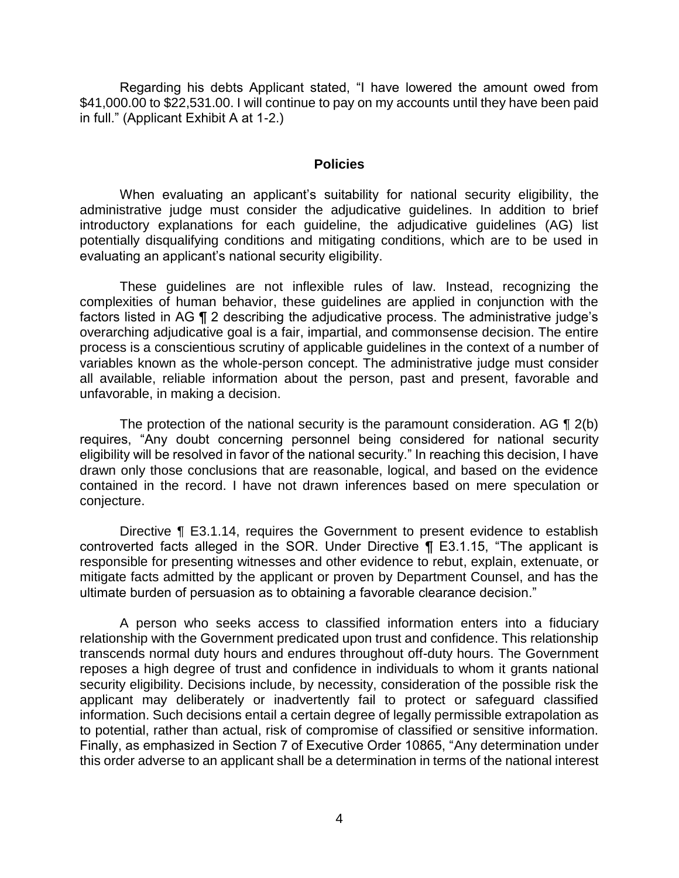Regarding his debts Applicant stated, "I have lowered the amount owed from \$41,000.00 to \$22,531.00. I will continue to pay on my accounts until they have been paid in full." (Applicant Exhibit A at 1-2.)

#### **Policies**

 When evaluating an applicant's suitability for national security eligibility, the administrative judge must consider the adjudicative guidelines. In addition to brief potentially disqualifying conditions and mitigating conditions, which are to be used in introductory explanations for each guideline, the adjudicative guidelines (AG) list evaluating an applicant's national security eligibility.

 These guidelines are not inflexible rules of law. Instead, recognizing the complexities of human behavior, these guidelines are applied in conjunction with the factors listed in AG ¶ 2 describing the adjudicative process. The administrative judge's overarching adjudicative goal is a fair, impartial, and commonsense decision. The entire variables known as the whole-person concept. The administrative judge must consider all available, reliable information about the person, past and present, favorable and process is a conscientious scrutiny of applicable guidelines in the context of a number of unfavorable, in making a decision.

The protection of the national security is the paramount consideration. AG  $\P$  2(b) requires, "Any doubt concerning personnel being considered for national security eligibility will be resolved in favor of the national security." In reaching this decision, I have drawn only those conclusions that are reasonable, logical, and based on the evidence contained in the record. I have not drawn inferences based on mere speculation or conjecture.

Directive ¶ E3.1.14, requires the Government to present evidence to establish controverted facts alleged in the SOR. Under Directive ¶ E3.1.15, "The applicant is responsible for presenting witnesses and other evidence to rebut, explain, extenuate, or mitigate facts admitted by the applicant or proven by Department Counsel, and has the ultimate burden of persuasion as to obtaining a favorable clearance decision."

 A person who seeks access to classified information enters into a fiduciary relationship with the Government predicated upon trust and confidence. This relationship transcends normal duty hours and endures throughout off-duty hours. The Government reposes a high degree of trust and confidence in individuals to whom it grants national security eligibility. Decisions include, by necessity, consideration of the possible risk the applicant may deliberately or inadvertently fail to protect or safeguard classified information. Such decisions entail a certain degree of legally permissible extrapolation as to potential, rather than actual, risk of compromise of classified or sensitive information. Finally, as emphasized in Section 7 of Executive Order 10865, "Any determination under this order adverse to an applicant shall be a determination in terms of the national interest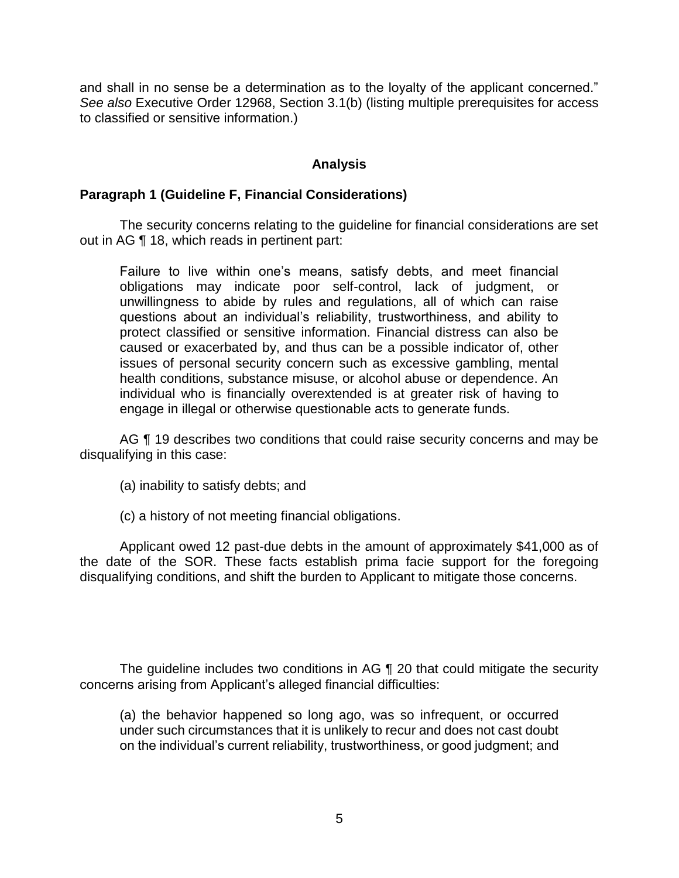and shall in no sense be a determination as to the loyalty of the applicant concerned." *See also* Executive Order 12968, Section 3.1(b) (listing multiple prerequisites for access to classified or sensitive information.)

## **Analysis**

#### **Paragraph 1 (Guideline F, Financial Considerations)**

 The security concerns relating to the guideline for financial considerations are set out in AG ¶ 18, which reads in pertinent part:

Failure to live within one's means, satisfy debts, and meet financial obligations may indicate poor self-control, lack of judgment, or unwillingness to abide by rules and regulations, all of which can raise questions about an individual's reliability, trustworthiness, and ability to protect classified or sensitive information. Financial distress can also be caused or exacerbated by, and thus can be a possible indicator of, other issues of personal security concern such as excessive gambling, mental health conditions, substance misuse, or alcohol abuse or dependence. An individual who is financially overextended is at greater risk of having to engage in illegal or otherwise questionable acts to generate funds.

AG  $\P$  19 describes two conditions that could raise security concerns and may be disqualifying in this case:

- (a) inability to satisfy debts; and
- (c) a history of not meeting financial obligations.

 Applicant owed 12 past-due debts in the amount of approximately \$41,000 as of the date of the SOR. These facts establish prima facie support for the foregoing disqualifying conditions, and shift the burden to Applicant to mitigate those concerns.

The guideline includes two conditions in AG ¶ 20 that could mitigate the security concerns arising from Applicant's alleged financial difficulties:

 (a) the behavior happened so long ago, was so infrequent, or occurred under such circumstances that it is unlikely to recur and does not cast doubt on the individual's current reliability, trustworthiness, or good judgment; and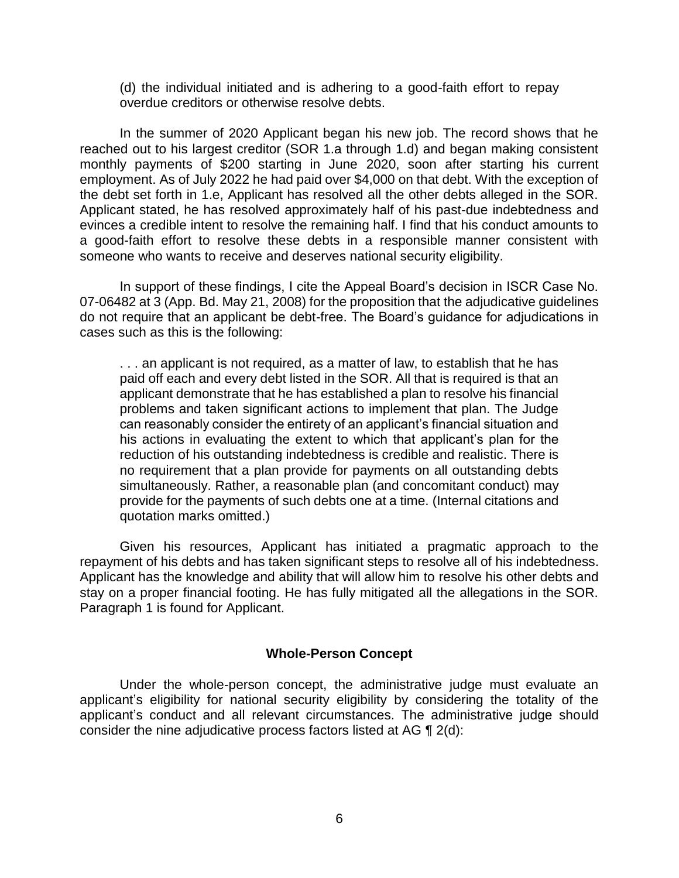(d) the individual initiated and is adhering to a good-faith effort to repay overdue creditors or otherwise resolve debts.

 In the summer of 2020 Applicant began his new job. The record shows that he reached out to his largest creditor (SOR 1.a through 1.d) and began making consistent monthly payments of \$200 starting in June 2020, soon after starting his current employment. As of July 2022 he had paid over \$4,000 on that debt. With the exception of the debt set forth in 1.e, Applicant has resolved all the other debts alleged in the SOR. evinces a credible intent to resolve the remaining half. I find that his conduct amounts to a good-faith effort to resolve these debts in a responsible manner consistent with Applicant stated, he has resolved approximately half of his past-due indebtedness and someone who wants to receive and deserves national security eligibility.

In support of these findings, I cite the Appeal Board's decision in ISCR Case No. 07-06482 at 3 (App. Bd. May 21, 2008) for the proposition that the adjudicative guidelines do not require that an applicant be debt-free. The Board's guidance for adjudications in cases such as this is the following:

. . . an applicant is not required, as a matter of law, to establish that he has paid off each and every debt listed in the SOR. All that is required is that an applicant demonstrate that he has established a plan to resolve his financial problems and taken significant actions to implement that plan. The Judge can reasonably consider the entirety of an applicant's financial situation and his actions in evaluating the extent to which that applicant's plan for the reduction of his outstanding indebtedness is credible and realistic. There is no requirement that a plan provide for payments on all outstanding debts simultaneously. Rather, a reasonable plan (and concomitant conduct) may provide for the payments of such debts one at a time. (Internal citations and quotation marks omitted.)

 Given his resources, Applicant has initiated a pragmatic approach to the repayment of his debts and has taken significant steps to resolve all of his indebtedness. stay on a proper financial footing. He has fully mitigated all the allegations in the SOR. Paragraph 1 is found for Applicant. Applicant has the knowledge and ability that will allow him to resolve his other debts and

#### **Whole-Person Concept**

 Under the whole-person concept, the administrative judge must evaluate an applicant's eligibility for national security eligibility by considering the totality of the applicant's conduct and all relevant circumstances. The administrative judge should consider the nine adjudicative process factors listed at AG ¶ 2(d):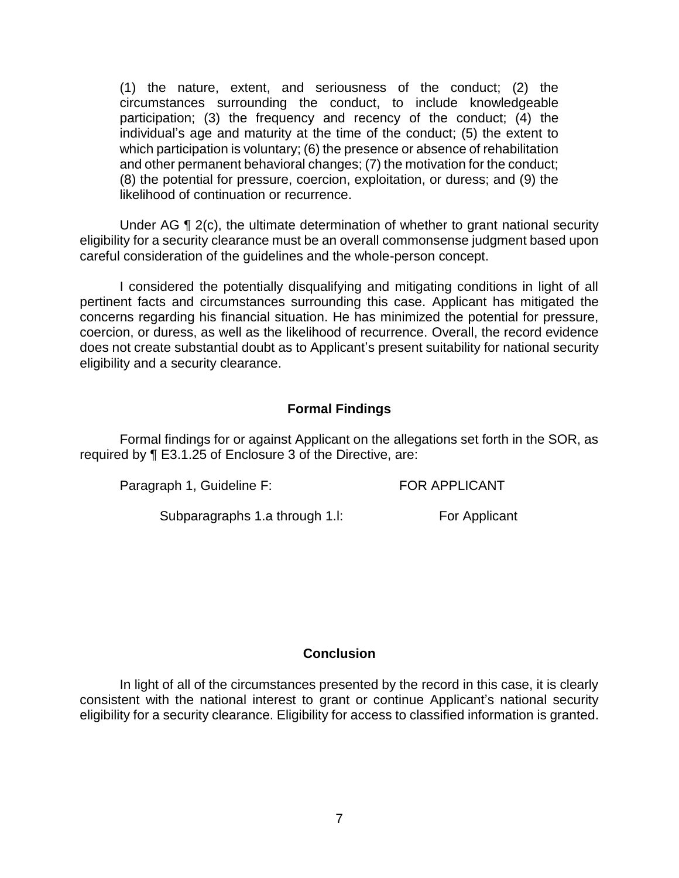(1) the nature, extent, and seriousness of the conduct; (2) the circumstances surrounding the conduct, to include knowledgeable participation; (3) the frequency and recency of the conduct; (4) the individual's age and maturity at the time of the conduct; (5) the extent to which participation is voluntary; (6) the presence or absence of rehabilitation and other permanent behavioral changes; (7) the motivation for the conduct; (8) the potential for pressure, coercion, exploitation, or duress; and (9) the likelihood of continuation or recurrence.

Under AG ¶ 2(c), the ultimate determination of whether to grant national security eligibility for a security clearance must be an overall commonsense judgment based upon careful consideration of the guidelines and the whole-person concept.

 I considered the potentially disqualifying and mitigating conditions in light of all pertinent facts and circumstances surrounding this case. Applicant has mitigated the concerns regarding his financial situation. He has minimized the potential for pressure, coercion, or duress, as well as the likelihood of recurrence. Overall, the record evidence does not create substantial doubt as to Applicant's present suitability for national security eligibility and a security clearance.

# **Formal Findings**

 Formal findings for or against Applicant on the allegations set forth in the SOR, as required by ¶ E3.1.25 of Enclosure 3 of the Directive, are:

Paragraph 1, Guideline F: FOR APPLICANT

Subparagraphs 1.a through 1.l: For Applicant

### **Conclusion**

 In light of all of the circumstances presented by the record in this case, it is clearly consistent with the national interest to grant or continue Applicant's national security eligibility for a security clearance. Eligibility for access to classified information is granted.